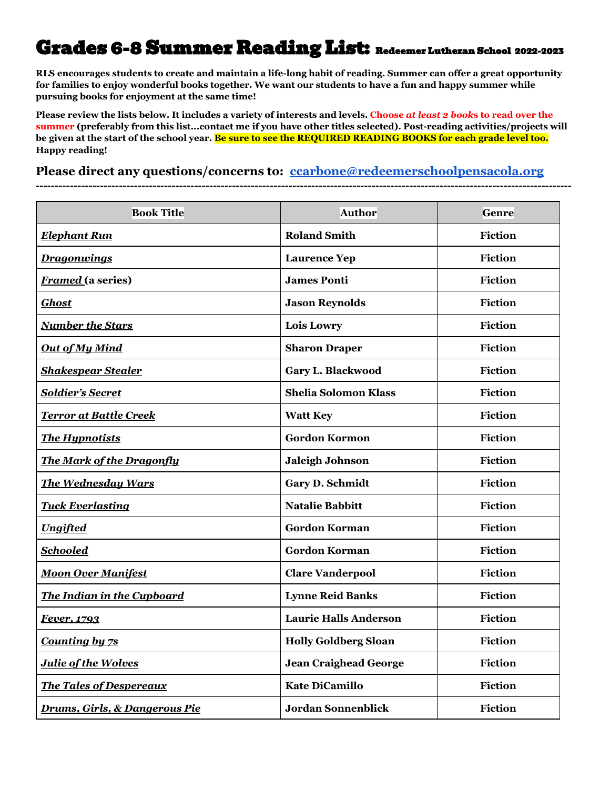## Grades 6-8 Summer Reading List: Redeemer Lutheran School 2022-2023

**RLS encourages students to create and maintain a life-long habit of reading. Summer can offer a great opportunity for families to enjoy wonderful books together. We want our students to have a fun and happy summer while pursuing books for enjoyment at the same time!**

**Please review the lists below. It includes a variety of interests and levels. Choose** *at least 2 book***s to read over the summer (preferably from this list...contact me if you have other titles selected). Post-reading activities/projects will be given at the start of the school year. Be sure to see the REQUIRED READING BOOKS for each grade level too. Happy reading!**

**Please direct any questions/concerns to: [ccarbone@redeemerschoolpensacola.org](mailto:ccarbone@redeemerschoolpensacola.org)**

**----------------------------------------------------------------------------------------------------------------------------------------------**

| <b>Book Title</b>                        | <b>Author</b>                | <b>Genre</b>   |
|------------------------------------------|------------------------------|----------------|
| <b>Elephant Run</b>                      | <b>Roland Smith</b>          | Fiction        |
| <b>Dragonwings</b>                       | <b>Laurence Yep</b>          | <b>Fiction</b> |
| <b>Framed</b> (a series)                 | <b>James Ponti</b>           | <b>Fiction</b> |
| <b>Ghost</b>                             | <b>Jason Reynolds</b>        | <b>Fiction</b> |
| <b>Number the Stars</b>                  | Lois Lowry                   | <b>Fiction</b> |
| <b>Out of My Mind</b>                    | <b>Sharon Draper</b>         | <b>Fiction</b> |
| <b>Shakespear Stealer</b>                | Gary L. Blackwood            | <b>Fiction</b> |
| <b>Soldier's Secret</b>                  | <b>Shelia Solomon Klass</b>  | <b>Fiction</b> |
| <b>Terror at Battle Creek</b>            | <b>Watt Key</b>              | <b>Fiction</b> |
| <b>The Hypnotists</b>                    | <b>Gordon Kormon</b>         | Fiction        |
| <b>The Mark of the Dragonfly</b>         | <b>Jaleigh Johnson</b>       | <b>Fiction</b> |
| <b>The Wednesday Wars</b>                | Gary D. Schmidt              | <b>Fiction</b> |
| <b>Tuck Everlasting</b>                  | <b>Natalie Babbitt</b>       | <b>Fiction</b> |
| <b>Ungifted</b>                          | <b>Gordon Korman</b>         | <b>Fiction</b> |
| <b>Schooled</b>                          | <b>Gordon Korman</b>         | Fiction        |
| <b>Moon Over Manifest</b>                | <b>Clare Vanderpool</b>      | Fiction        |
| <b>The Indian in the Cupboard</b>        | <b>Lynne Reid Banks</b>      | <b>Fiction</b> |
| Fever, 1793                              | <b>Laurie Halls Anderson</b> | <b>Fiction</b> |
| <b>Counting by 7s</b>                    | <b>Holly Goldberg Sloan</b>  | <b>Fiction</b> |
| <b>Julie of the Wolves</b>               | <b>Jean Craighead George</b> | <b>Fiction</b> |
| <b>The Tales of Despereaux</b>           | <b>Kate DiCamillo</b>        | <b>Fiction</b> |
| <b>Drums, Girls, &amp; Dangerous Pie</b> | <b>Jordan Sonnenblick</b>    | <b>Fiction</b> |